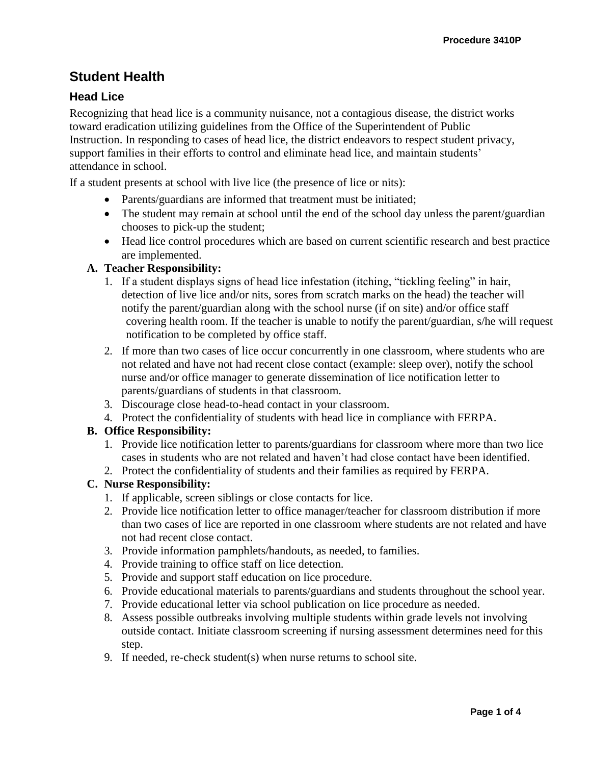# **Student Health**

## **Head Lice**

Recognizing that head lice is a community nuisance, not a contagious disease, the district works toward eradication utilizing guidelines from the Office of the Superintendent of Public Instruction. In responding to cases of head lice, the district endeavors to respect student privacy, support families in their efforts to control and eliminate head lice, and maintain students' attendance in school.

If a student presents at school with live lice (the presence of lice or nits):

- Parents/guardians are informed that treatment must be initiated;
- The student may remain at school until the end of the school day unless the parent/guardian chooses to pick-up the student;
- Head lice control procedures which are based on current scientific research and best practice are implemented.

## **A. Teacher Responsibility:**

- 1. If a student displays signs of head lice infestation (itching, "tickling feeling" in hair, detection of live lice and/or nits, sores from scratch marks on the head) the teacher will notify the parent/guardian along with the school nurse (if on site) and/or office staff covering health room. If the teacher is unable to notify the parent/guardian, s/he will request notification to be completed by office staff.
- 2. If more than two cases of lice occur concurrently in one classroom, where students who are not related and have not had recent close contact (example: sleep over), notify the school nurse and/or office manager to generate dissemination of lice notification letter to parents/guardians of students in that classroom.
- 3. Discourage close head-to-head contact in your classroom.
- 4. Protect the confidentiality of students with head lice in compliance with FERPA.

#### **B. Office Responsibility:**

- 1. Provide lice notification letter to parents/guardians for classroom where more than two lice cases in students who are not related and haven't had close contact have been identified.
- 2. Protect the confidentiality of students and their families as required by FERPA.

## **C. Nurse Responsibility:**

- 1. If applicable, screen siblings or close contacts for lice.
- 2. Provide lice notification letter to office manager/teacher for classroom distribution if more than two cases of lice are reported in one classroom where students are not related and have not had recent close contact.
- 3. Provide information pamphlets/handouts, as needed, to families.
- 4. Provide training to office staff on lice detection.
- 5. Provide and support staff education on lice procedure.
- 6. Provide educational materials to parents/guardians and students throughout the school year.
- 7. Provide educational letter via school publication on lice procedure as needed.
- 8. Assess possible outbreaks involving multiple students within grade levels not involving outside contact. Initiate classroom screening if nursing assessment determines need for this step.
- 9. If needed, re-check student(s) when nurse returns to school site.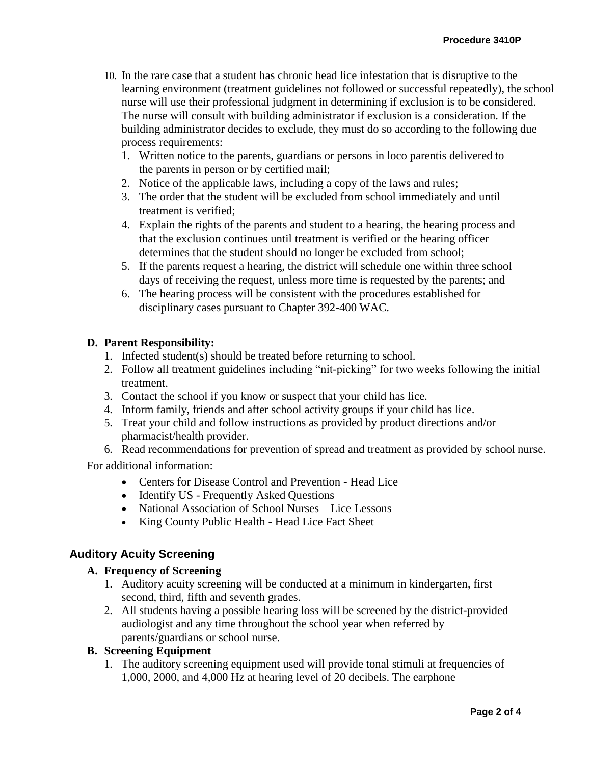- 10. In the rare case that a student has chronic head lice infestation that is disruptive to the learning environment (treatment guidelines not followed or successful repeatedly), the school nurse will use their professional judgment in determining if exclusion is to be considered. The nurse will consult with building administrator if exclusion is a consideration. If the building administrator decides to exclude, they must do so according to the following due process requirements:
	- 1. Written notice to the parents, guardians or persons in loco parentis delivered to the parents in person or by certified mail;
	- 2. Notice of the applicable laws, including a copy of the laws and rules;
	- 3. The order that the student will be excluded from school immediately and until treatment is verified;
	- 4. Explain the rights of the parents and student to a hearing, the hearing process and that the exclusion continues until treatment is verified or the hearing officer determines that the student should no longer be excluded from school;
	- 5. If the parents request a hearing, the district will schedule one within three school days of receiving the request, unless more time is requested by the parents; and
	- 6. The hearing process will be consistent with the procedures established for disciplinary cases pursuant to Chapter 392-400 WAC.

#### **D. Parent Responsibility:**

- 1. Infected student(s) should be treated before returning to school.
- 2. Follow all treatment guidelines including "nit-picking" for two weeks following the initial treatment.
- 3. Contact the school if you know or suspect that your child has lice.
- 4. Inform family, friends and after school activity groups if your child has lice.
- 5. Treat your child and follow instructions as provided by product directions and/or pharmacist/health provider.
- 6. Read recommendations for prevention of spread and treatment as provided by school nurse. For additional information:

- [Centers for Disease Control and Prevention -](http://www.nlm.nih.gov/medlineplus/headlice.html) [Head](http://www.nlm.nih.gov/medlineplus/headlice.html) Lice
- Identify US [Frequently Asked](https://identify.us.com/idmybug/head-lice/head-lice-FAQS/index.html) Questions
- [National A](http://www.webmd.com/parenting/features/what-do-when-your-child-has-head-lice)ssociation of School Nurses Lice Lessons
- [King County Public Health -](http://www.kingcounty.gov/healthservices/health/communicable/diseases/headlice.aspx) Head Lice Fact Sheet

## **Auditory Acuity Screening**

#### **A. Frequency of Screening**

- 1. Auditory acuity screening will be conducted at a minimum in kindergarten, first second, third, fifth and seventh grades.
- 2. All students having a possible hearing loss will be screened by the district-provided audiologist and any time throughout the school year when referred by parents/guardians or school nurse.

#### **B. Screening Equipment**

1. The auditory screening equipment used will provide tonal stimuli at frequencies of 1,000, 2000, and 4,000 Hz at hearing level of 20 decibels. The earphone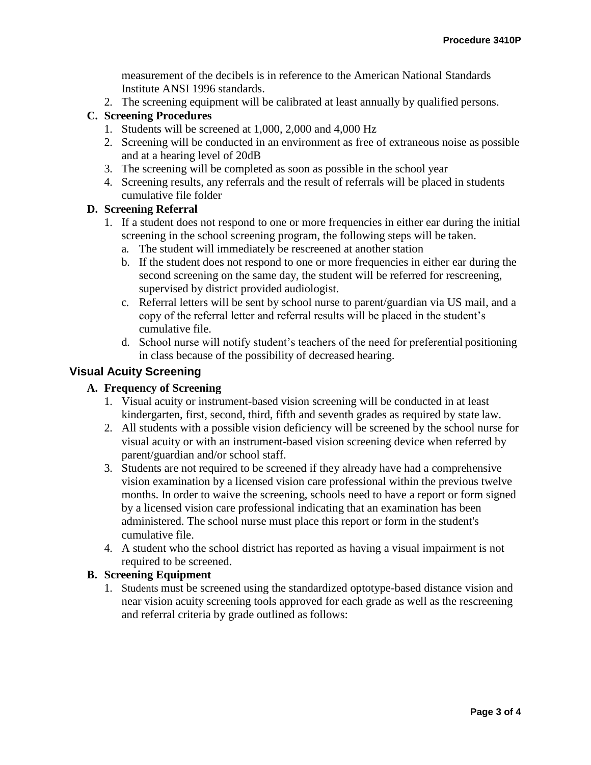measurement of the decibels is in reference to the American National Standards Institute ANSI 1996 standards.

2. The screening equipment will be calibrated at least annually by qualified persons.

## **C. Screening Procedures**

- 1. Students will be screened at 1,000, 2,000 and 4,000 Hz
- 2. Screening will be conducted in an environment as free of extraneous noise as possible and at a hearing level of 20dB
- 3. The screening will be completed as soon as possible in the school year
- 4. Screening results, any referrals and the result of referrals will be placed in students cumulative file folder

### **D. Screening Referral**

- 1. If a student does not respond to one or more frequencies in either ear during the initial screening in the school screening program, the following steps will be taken.
	- a. The student will immediately be rescreened at another station
	- b. If the student does not respond to one or more frequencies in either ear during the second screening on the same day, the student will be referred for rescreening, supervised by district provided audiologist.
	- c. Referral letters will be sent by school nurse to parent/guardian via US mail, and a copy of the referral letter and referral results will be placed in the student's cumulative file.
	- d. School nurse will notify student's teachers of the need for preferential positioning in class because of the possibility of decreased hearing.

## **Visual Acuity Screening**

### **A. Frequency of Screening**

- 1. Visual acuity or instrument-based vision screening will be conducted in at least kindergarten, first, second, third, fifth and seventh grades as required by state law.
- 2. All students with a possible vision deficiency will be screened by the school nurse for visual acuity or with an instrument-based vision screening device when referred by parent/guardian and/or school staff.
- 3. Students are not required to be screened if they already have had a comprehensive vision examination by a licensed vision care professional within the previous twelve months. In order to waive the screening, schools need to have a report or form signed by a licensed vision care professional indicating that an examination has been administered. The school nurse must place this report or form in the student's cumulative file.
- 4. A student who the school district has reported as having a visual impairment is not required to be screened.

### **B. Screening Equipment**

1. Students must be screened using the standardized optotype-based distance vision and near vision acuity screening tools approved for each grade as well as the rescreening and referral criteria by grade outlined as follows: